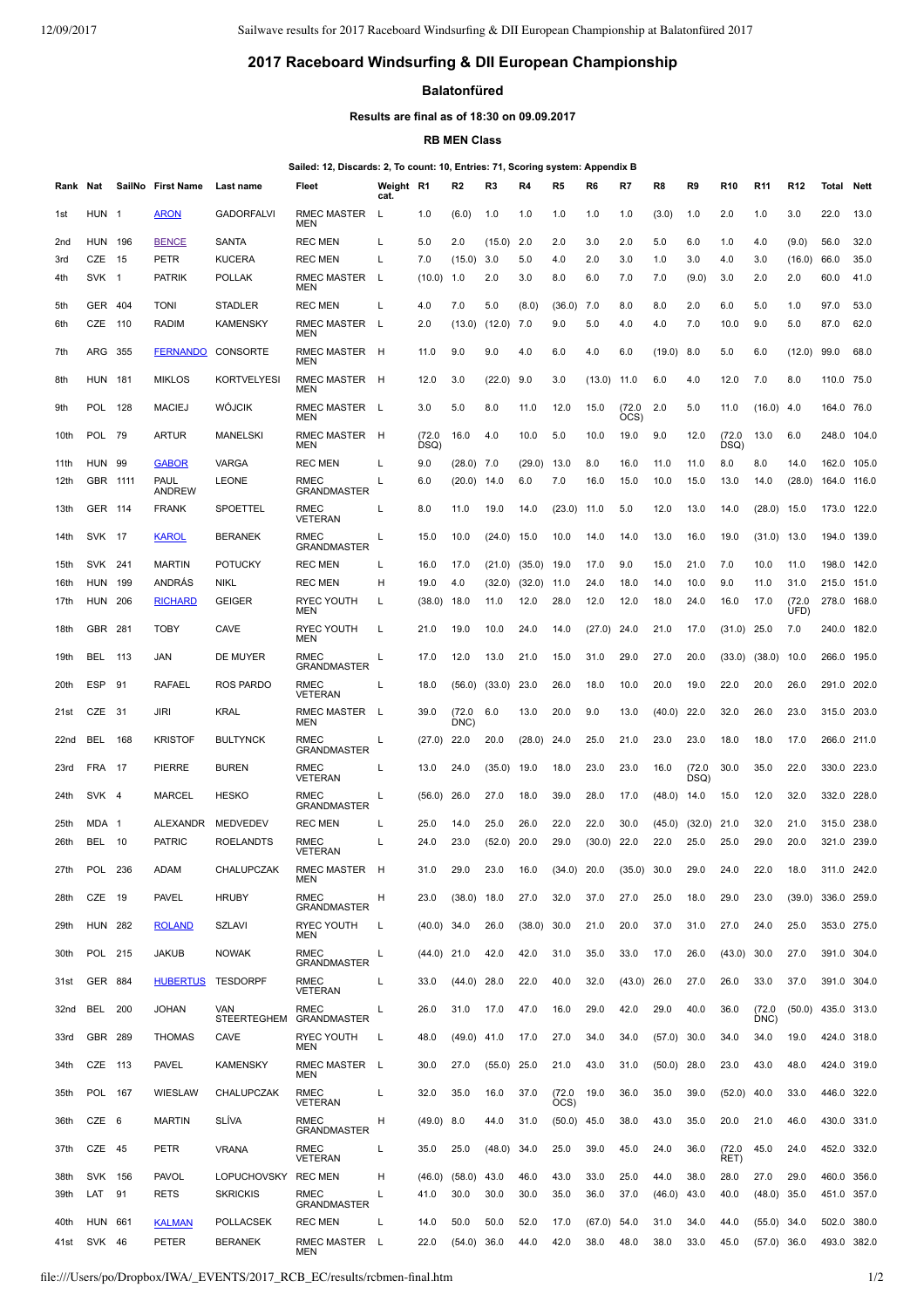# **2017 Raceboard Windsurfing & DII European Championship**

### **Balatonfüred**

**Results are final as of 18:30 on 09.09.2017**

**RB MEN Class**

#### **Sailed: 12, Discards: 2, To count: 10, Entries: 71, Scoring system: Appendix B**

| Rank            | Nat              |       | SailNo First Name                | Last name                    | Fleet                                   | Weight R1<br>cat. |               | R <sub>2</sub> | R3             | R4           | R5             | R6             | R7             | R8             | R9             | R10            | R11           | R <sub>12</sub> | Total                      | Nett  |
|-----------------|------------------|-------|----------------------------------|------------------------------|-----------------------------------------|-------------------|---------------|----------------|----------------|--------------|----------------|----------------|----------------|----------------|----------------|----------------|---------------|-----------------|----------------------------|-------|
| 1st             | HUN 1            |       | <b>ARON</b>                      | <b>GADORFALVI</b>            | <b>RMEC MASTER</b><br><b>MEN</b>        |                   | 1.0           | (6.0)          | 1.0            | 1.0          | 1.0            | 1.0            | 1.0            | (3.0)          | 1.0            | 2.0            | 1.0           | 3.0             | 22.0                       | 13.0  |
| 2 <sub>nd</sub> | <b>HUN 196</b>   |       | <b>BENCE</b>                     | SANTA                        | <b>REC MEN</b>                          | L                 | 5.0           | 2.0            | (15.0)         | 2.0          | 2.0            | 3.0            | 2.0            | 5.0            | 6.0            | 1.0            | 4.0           | (9.0)           | 56.0                       | 32.0  |
| 3rd             | CZE              | - 15  | PETR                             | <b>KUCERA</b>                | <b>REC MEN</b>                          | L                 | 7.0           | (15.0)         | 3.0            | 5.0          | 4.0            | 2.0            | 3.0            | 1.0            | 3.0            | 4.0            | 3.0           | (16.0)          | 66.0                       | 35.0  |
| 4th             | SVK <sub>1</sub> |       | <b>PATRIK</b>                    | <b>POLLAK</b>                | RMEC MASTER<br>MEN                      | L,                | (10.0)        | 1.0            | 2.0            | 3.0          | 8.0            | 6.0            | 7.0            | 7.0            | (9.0)          | 3.0            | 2.0           | 2.0             | 60.0                       | 41.0  |
| 5th             | GER 404          |       | <b>TONI</b>                      | <b>STADLER</b>               | <b>REC MEN</b>                          | L                 | 4.0           | 7.0            | 5.0            | (8.0)        | (36.0)         | 7.0            | 8.0            | 8.0            | 2.0            | 6.0            | 5.0           | 1.0             | 97.0                       | 53.0  |
| 6th             | CZE              | 110   | <b>RADIM</b>                     | <b>KAMENSKY</b>              | <b>RMEC MASTER</b><br><b>MEN</b>        | - L               | 2.0           | (13.0)         | (12.0)         | 7.0          | 9.0            | 5.0            | 4.0            | 4.0            | 7.0            | 10.0           | 9.0           | 5.0             | 87.0                       | 62.0  |
| 7th             | ARG 355          |       | <b>FERNANDO</b>                  | <b>CONSORTE</b>              | RMEC MASTER H<br><b>MEN</b>             |                   | 11.0          | 9.0            | 9.0            | 4.0          | 6.0            | 4.0            | 6.0            | (19.0) 8.0     |                | 5.0            | 6.0           | (12.0)          | 99.0                       | 68.0  |
| 8th             | <b>HUN 181</b>   |       | <b>MIKLOS</b>                    | <b>KORTVELYESI</b>           | RMEC MASTER H<br><b>MEN</b>             |                   | 12.0          | 3.0            | (22.0)         | 9.0          | 3.0            | (13.0)         | 11.0           | 6.0            | 4.0            | 12.0           | 7.0           | 8.0             | 110.0 75.0                 |       |
| 9th             | <b>POL</b>       | - 128 | <b>MACIEJ</b>                    | <b>WÓJCIK</b>                | RMEC MASTER<br><b>MEN</b>               | - L               | 3.0           | 5.0            | 8.0            | 11.0         | 12.0           | 15.0           | (72.0)<br>OCS) | 2.0            | 5.0            | 11.0           | (16.0)        | 4.0             | 164.0 76.0                 |       |
| 10th            | POL              | - 79  | <b>ARTUR</b>                     | <b>MANELSKI</b>              | RMEC MASTER H<br><b>MEN</b>             |                   | (72.0<br>DSQ) | 16.0           | 4.0            | 10.0         | 5.0            | 10.0           | 19.0           | 9.0            | 12.0           | (72.0)<br>DSQ) | 13.0          | 6.0             | 248.0 104.0                |       |
| 11th            | HUN              | 99    | <b>GABOR</b>                     | VARGA                        | <b>REC MEN</b>                          | L                 | 9.0           | (28.0)         | 7.0            | (29.0)       | 13.0           | 8.0            | 16.0           | 11.0           | 11.0           | 8.0            | 8.0           | 14.0            | 162.0 105.0                |       |
| 12th            | GBR 1111         |       | PAUL<br><b>ANDREW</b>            | <b>LEONE</b>                 | RMEC<br><b>GRANDMASTER</b>              | L                 | 6.0           | (20.0)         | 14.0           | 6.0          | 7.0            | 16.0           | 15.0           | 10.0           | 15.0           | 13.0           | 14.0          | (28.0)          | 164.0                      | 116.0 |
| 13th            | GER 114          |       | <b>FRANK</b>                     | SPOETTEL                     | RMEC<br><b>VETERAN</b>                  | L                 | 8.0           | 11.0           | 19.0           | 14.0         | (23.0)         | 11.0           | 5.0            | 12.0           | 13.0           | 14.0           | (28.0)        | 15.0            | 173.0 122.0                |       |
| 14th            | <b>SVK</b>       | - 17  | <b>KAROL</b>                     | <b>BERANEK</b>               | RMEC<br><b>GRANDMASTER</b>              | L                 | 15.0          | 10.0           | (24.0)         | 15.0         | 10.0           | 14.0           | 14.0           | 13.0           | 16.0           | 19.0           | (31.0)        | 13.0            | 194.0 139.0                |       |
| 15th            | SVK              | 241   | <b>MARTIN</b>                    | <b>POTUCKY</b>               | <b>REC MEN</b>                          | L                 | 16.0          | 17.0           | (21.0)         | (35.0)       | 19.0           | 17.0           | 9.0            | 15.0           | 21.0           | 7.0            | 10.0          | 11.0            | 198.0 142.0                |       |
| 16th            | <b>HUN 199</b>   |       | ANDRÁS                           | <b>NIKL</b>                  | <b>REC MEN</b>                          | н                 | 19.0          | 4.0            | (32.0)         | (32.0)       | 11.0           | 24.0           | 18.0           | 14.0           | 10.0           | 9.0            | 11.0          | 31.0            | 215.0 151.0                |       |
| 17th            | HUN              | 206   | <b>RICHARD</b>                   | <b>GEIGER</b>                | <b>RYEC YOUTH</b><br>MEN                | L                 | (38.0)        | 18.0           | 11.0           | 12.0         | 28.0           | 12.0           | 12.0           | 18.0           | 24.0           | 16.0           | 17.0          | (72.0)<br>UFD)  | 278.0 168.0                |       |
| 18th            | GBR 281          |       | <b>TOBY</b>                      | CAVE                         | <b>RYEC YOUTH</b><br>MEN                | L                 | 21.0          | 19.0           | 10.0           | 24.0         | 14.0           | (27.0)         | 24.0           | 21.0           | 17.0           | (31.0)         | 25.0          | 7.0             | 240.0                      | 182.0 |
| 19th            | BEL              | - 113 | JAN                              | DE MUYER                     | <b>RMEC</b><br><b>GRANDMASTER</b>       | L                 | 17.0          | 12.0           | 13.0           | 21.0         | 15.0           | 31.0           | 29.0           | 27.0           | 20.0           | (33.0)         | (38.0)        | 10.0            | 266.0 195.0                |       |
| 20th            | ESP              | 91    | <b>RAFAEL</b>                    | <b>ROS PARDO</b>             | RMEC<br><b>VETERAN</b>                  | L                 | 18.0          | (56.0)         | (33.0)         | 23.0         | 26.0           | 18.0           | 10.0           | 20.0           | 19.0           | 22.0           | 20.0          | 26.0            | 291.0 202.0                |       |
| 21st            | CZE              | - 31  | <b>JIRI</b>                      | <b>KRAL</b>                  | RMEC MASTER<br>MEN                      | - L               | 39.0          | (72.0)<br>DNC) | 6.0            | 13.0         | 20.0           | 9.0            | 13.0           | (40.0)         | 22.0           | 32.0           | 26.0          | 23.0            | 315.0 203.0                |       |
| 22nd            | BEL              | 168   | <b>KRISTOF</b>                   | <b>BULTYNCK</b>              | <b>RMEC</b><br><b>GRANDMASTER</b>       | L                 | (27.0)        | 22.0           | 20.0           | (28.0)       | 24.0           | 25.0           | 21.0           | 23.0           | 23.0           | 18.0           | 18.0          | 17.0            | 266.0 211.0                |       |
| 23rd            | FRA              | - 17  | <b>PIERRE</b>                    | <b>BUREN</b>                 | RMEC<br><b>VETERAN</b>                  | L                 | 13.0          | 24.0           | (35.0)         | 19.0         | 18.0           | 23.0           | 23.0           | 16.0           | (72.0)<br>DSQ) | 30.0           | 35.0          | 22.0<br>32.0    | 330.0 223.0                | 228.0 |
| 24th            | SVK <sub>4</sub> |       | <b>MARCEL</b>                    | <b>HESKO</b>                 | RMEC<br><b>GRANDMASTER</b>              |                   | (56.0)        | 26.0           | 27.0           | 18.0         | 39.0           | 28.0           | 17.0           | (48.0)         | 14.0           | 15.0           | 12.0          |                 | 332.0                      |       |
| 25th<br>26th    | MDA 1<br>BEL     | 10    | <b>ALEXANDR</b><br><b>PATRIC</b> | MEDVEDEV<br><b>ROELANDTS</b> | <b>REC MEN</b><br>RMEC                  | L<br>L            | 25.0<br>24.0  | 14.0<br>23.0   | 25.0<br>(52.0) | 26.0<br>20.0 | 22.0<br>29.0   | 22.0<br>(30.0) | 30.0<br>22.0   | (45.0)<br>22.0 | (32.0)<br>25.0 | 21.0<br>25.0   | 32.0<br>29.0  | 21.0<br>20.0    | 315.0 238.0<br>321.0 239.0 |       |
| 27th            | POL              | 236   | ADAM                             | CHALUPCZAK                   | VETERAN<br><b>RMEC MASTER</b>           | н                 | 31.0          | 29.0           | 23.0           | 16.0         | (34.0)         | 20.0           | (35.0)         | 30.0           | 29.0           | 24.0           | 22.0          | 18.0            | 311.0 242.0                |       |
| 28th            | CZE              | - 19  | <b>PAVEL</b>                     | <b>HRUBY</b>                 | MEN<br>RMEC                             | H                 | 23.0          | (38.0)         | 18.0           | 27.0         | 32.0           | 37.0           | 27.0           | 25.0           | 18.0           | 29.0           | 23.0          | (39.0)          | 336.0 259.0                |       |
| 29th            | <b>HUN 282</b>   |       | <b>ROLAND</b>                    | <b>SZLAVI</b>                | <b>GRANDMASTER</b><br>RYEC YOUTH        | Г                 | $(40.0)$ 34.0 |                | 26.0           | (38.0)       | 30.0           | 21.0           | 20.0           | 37.0           | 31.0           | 27.0           | 24.0          | 25.0            | 353.0 275.0                |       |
| 30th            | POL 215          |       | <b>JAKUB</b>                     | <b>NOWAK</b>                 | MEN<br><b>RMEC</b>                      | L                 | (44.0)        | 21.0           | 42.0           | 42.0         | 31.0           | 35.0           | 33.0           | 17.0           | 26.0           | (43.0)         | 30.0          | 27.0            | 391.0 304.0                |       |
| 31st            | GER 884          |       | <b>HUBERTUS</b>                  | <b>TESDORPF</b>              | <b>GRANDMASTER</b><br><b>RMEC</b>       | L                 | 33.0          | (44.0)         | 28.0           | 22.0         | 40.0           | 32.0           | (43.0)         | 26.0           | 27.0           | 26.0           | 33.0          | 37.0            | 391.0 304.0                |       |
| 32nd            | BEL              | 200   | <b>JOHAN</b>                     | VAN                          | <b>VETERAN</b><br><b>RMEC</b>           | L                 | 26.0          | 31.0           | 17.0           | 47.0         | 16.0           | 29.0           | 42.0           | 29.0           | 40.0           | 36.0           | (72.0)        | (50.0)          | 435.0 313.0                |       |
| 33rd            | GBR 289          |       | <b>THOMAS</b>                    | <b>STEERTEGHEM</b><br>CAVE   | <b>GRANDMASTER</b><br><b>RYEC YOUTH</b> | L                 | 48.0          | (49.0)         | 41.0           | 17.0         | 27.0           | 34.0           | 34.0           | $(57.0)$ 30.0  |                | 34.0           | DNC)<br>34.0  | 19.0            | 424.0 318.0                |       |
| 34th            | CZE 113          |       | PAVEL                            | <b>KAMENSKY</b>              | MEN<br>RMEC MASTER L                    |                   | 30.0          | 27.0           | (55.0)         | 25.0         | 21.0           | 43.0           | 31.0           | (50.0)         | 28.0           | 23.0           | 43.0          | 48.0            | 424.0 319.0                |       |
| 35th            | POL 167          |       | WIESLAW                          | <b>CHALUPCZAK</b>            | MEN<br><b>RMEC</b>                      | Г                 | 32.0          | 35.0           | 16.0           | 37.0         | (72.0)         | 19.0           | 36.0           | 35.0           | 39.0           | (52.0)         | 40.0          | 33.0            | 446.0 322.0                |       |
| 36th            | CZE 6            |       | <b>MARTIN</b>                    | <b>SLÍVA</b>                 | <b>VETERAN</b><br><b>RMEC</b>           | H                 | $(49.0)$ 8.0  |                | 44.0           | 31.0         | OCS)<br>(50.0) | 45.0           | 38.0           | 43.0           | 35.0           | 20.0           | 21.0          | 46.0            | 430.0 331.0                |       |
| 37th            | CZE 45           |       | <b>PETR</b>                      | <b>VRANA</b>                 | <b>GRANDMASTER</b><br><b>RMEC</b>       | L                 | 35.0          | 25.0           | (48.0)         | 34.0         | 25.0           | 39.0           | 45.0           | 24.0           | 36.0           | (72.0)         | 45.0          | 24.0            | 452.0 332.0                |       |
| 38th            | SVK 156          |       | <b>PAVOL</b>                     | <b>LOPUCHOVSKY</b>           | <b>VETERAN</b><br><b>REC MEN</b>        | H                 | (46.0)        | (58.0)         | 43.0           | 46.0         | 43.0           | 33.0           | 25.0           | 44.0           | 38.0           | RET)<br>28.0   | 27.0          | 29.0            | 460.0 356.0                |       |
| 39th            | LAT              | - 91  | <b>RETS</b>                      | <b>SKRICKIS</b>              | RMEC<br><b>GRANDMASTER</b>              | L                 | 41.0          | 30.0           | 30.0           | 30.0         | 35.0           | 36.0           | 37.0           | (46.0)         | 43.0           | 40.0           | (48.0)        | 35.0            | 451.0 357.0                |       |
| 40th            | <b>HUN 661</b>   |       | <b>KALMAN</b>                    | <b>POLLACSEK</b>             | <b>REC MEN</b>                          | L                 | 14.0          | 50.0           | 50.0           | 52.0         | 17.0           | (67.0)         | 54.0           | 31.0           | 34.0           | 44.0           | $(55.0)$ 34.0 |                 | 502.0 380.0                |       |
| 41st            | SVK 46           |       | <b>PETER</b>                     | <b>BERANEK</b>               | RMEC MASTER L                           |                   | 22.0          | (54.0)         | 36.0           | 44.0         | 42.0           | 38.0           | 48.0           | 38.0           | 33.0           | 45.0           | $(57.0)$ 36.0 |                 | 493.0 382.0                |       |
|                 |                  |       |                                  |                              | MEN                                     |                   |               |                |                |              |                |                |                |                |                |                |               |                 |                            |       |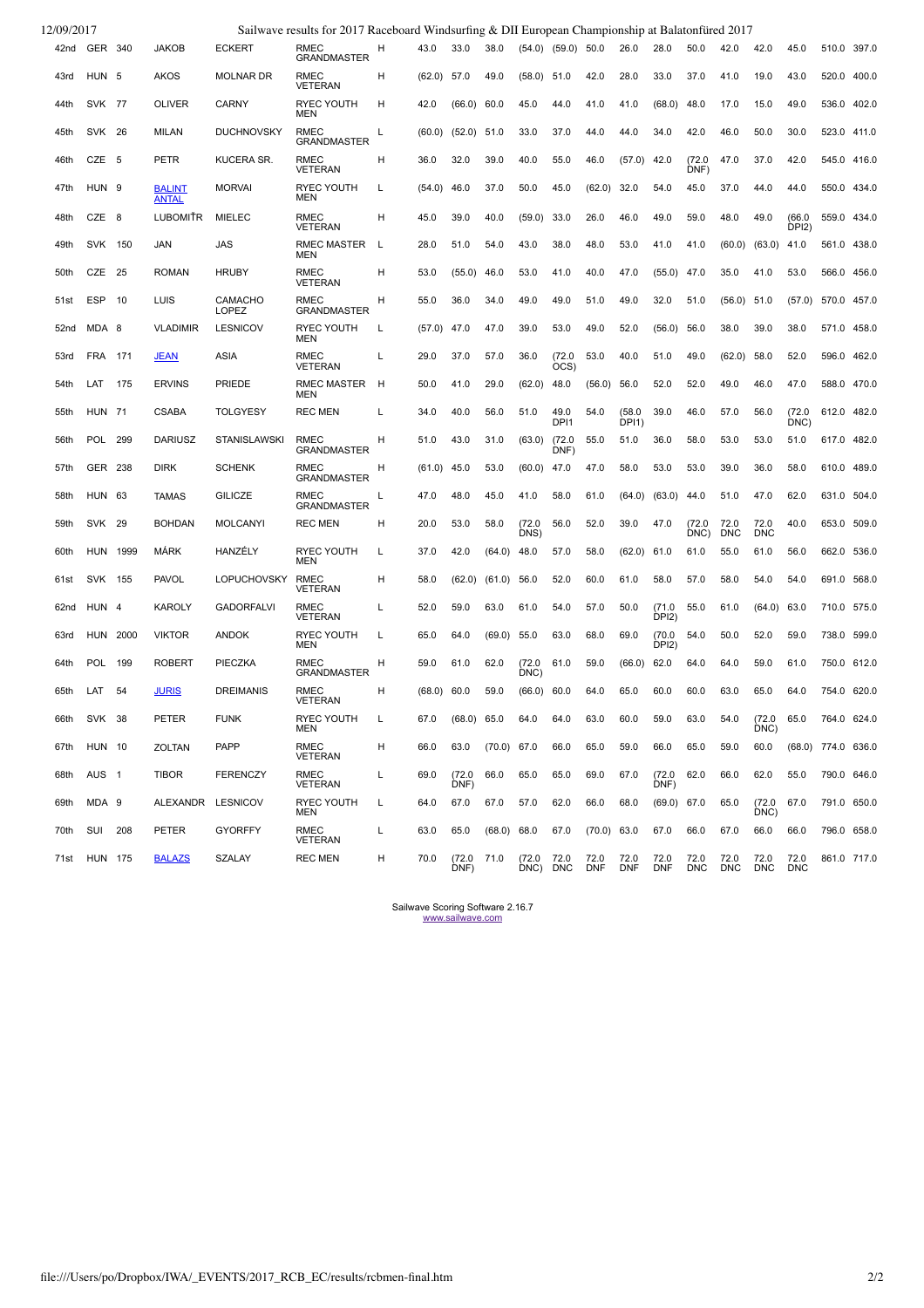| 12/09/2017 |                  | Sailwave results for 2017 Raceboard Windsurfing & DII European Championship at Balatonfüred 2017 |                               |                     |                                   |   |               |                |               |                        |                          |               |                            |                              |                    |                    |                    |                              |                      |             |
|------------|------------------|--------------------------------------------------------------------------------------------------|-------------------------------|---------------------|-----------------------------------|---|---------------|----------------|---------------|------------------------|--------------------------|---------------|----------------------------|------------------------------|--------------------|--------------------|--------------------|------------------------------|----------------------|-------------|
| 42nd       | GER 340          |                                                                                                  | <b>JAKOB</b>                  | <b>ECKERT</b>       | <b>RMEC</b><br><b>GRANDMASTER</b> | н | 43.0          | 33.0           | 38.0          |                        | $(54.0)$ $(59.0)$ 50.0   |               | 26.0                       | 28.0                         | 50.0               | 42.0               | 42.0               | 45.0                         |                      | 510.0 397.0 |
| 43rd       | HUN 5            |                                                                                                  | <b>AKOS</b>                   | <b>MOLNAR DR</b>    | RMEC<br><b>VETERAN</b>            | н | $(62.0)$ 57.0 |                | 49.0          | $(58.0)$ 51.0          |                          | 42.0          | 28.0                       | 33.0                         | 37.0               | 41.0               | 19.0               | 43.0                         |                      | 520.0 400.0 |
| 44th       | <b>SVK 77</b>    |                                                                                                  | <b>OLIVER</b>                 | <b>CARNY</b>        | <b>RYEC YOUTH</b><br>MEN          | н | 42.0          | (66.0) 60.0    |               | 45.0                   | 44.0                     | 41.0          | 41.0                       | (68.0)                       | 48.0               | 17.0               | 15.0               | 49.0                         |                      | 536.0 402.0 |
| 45th       | SVK 26           |                                                                                                  | <b>MILAN</b>                  | <b>DUCHNOVSKY</b>   | RMEC<br><b>GRANDMASTER</b>        | L | (60.0)        | (52.0)         | 51.0          | 33.0                   | 37.0                     | 44.0          | 44.0                       | 34.0                         | 42.0               | 46.0               | 50.0               | 30.0                         |                      | 523.0 411.0 |
| 46th       | CZE 5            |                                                                                                  | PETR                          | KUCERA SR.          | RMEC<br><b>VETERAN</b>            | н | 36.0          | 32.0           | 39.0          | 40.0                   | 55.0                     | 46.0          | (57.0)                     | 42.0                         | (72.0)<br>DNF)     | 47.0               | 37.0               | 42.0                         |                      | 545.0 416.0 |
| 47th       | HUN 9            |                                                                                                  | <b>BALINT</b><br><b>ANTAL</b> | <b>MORVAI</b>       | <b>RYEC YOUTH</b><br>MEN          | L | (54.0)        | 46.0           | 37.0          | 50.0                   | 45.0                     | (62.0)        | 32.0                       | 54.0                         | 45.0               | 37.0               | 44.0               | 44.0                         |                      | 550.0 434.0 |
| 48th       | CZE 8            |                                                                                                  | LUBOMITR                      | <b>MIELEC</b>       | <b>RMEC</b><br><b>VETERAN</b>     | Н | 45.0          | 39.0           | 40.0          | (59.0)                 | 33.0                     | 26.0          | 46.0                       | 49.0                         | 59.0               | 48.0               | 49.0               | (66.0)<br>DPI <sub>2</sub> ) |                      | 559.0 434.0 |
| 49th       | SVK 150          |                                                                                                  | <b>JAN</b>                    | <b>JAS</b>          | <b>RMEC MASTER</b><br>MEN         | L | 28.0          | 51.0           | 54.0          | 43.0                   | 38.0                     | 48.0          | 53.0                       | 41.0                         | 41.0               | (60.0)             | (63.0)             | 41.0                         |                      | 561.0 438.0 |
| 50th       | CZE 25           |                                                                                                  | <b>ROMAN</b>                  | <b>HRUBY</b>        | <b>RMEC</b><br><b>VETERAN</b>     | н | 53.0          | (55.0)         | 46.0          | 53.0                   | 41.0                     | 40.0          | 47.0                       | (55.0)                       | 47.0               | 35.0               | 41.0               | 53.0                         |                      | 566.0 456.0 |
| 51st       | <b>ESP</b>       | 10                                                                                               | LUIS                          | CAMACHO<br>LOPEZ    | <b>RMEC</b><br><b>GRANDMASTER</b> | н | 55.0          | 36.0           | 34.0          | 49.0                   | 49.0                     | 51.0          | 49.0                       | 32.0                         | 51.0               | $(56.0)$ 51.0      |                    | (57.0)                       | 570.0 457.0          |             |
| 52nd       | MDA 8            |                                                                                                  | <b>VLADIMIR</b>               | <b>LESNICOV</b>     | <b>RYEC YOUTH</b><br>MEN          | L | (57.0)        | 47.0           | 47.0          | 39.0                   | 53.0                     | 49.0          | 52.0                       | (56.0)                       | 56.0               | 38.0               | 39.0               | 38.0                         |                      | 571.0 458.0 |
| 53rd       | <b>FRA</b> 171   |                                                                                                  | <b>JEAN</b>                   | ASIA                | <b>RMEC</b><br><b>VETERAN</b>     | L | 29.0          | 37.0           | 57.0          | 36.0                   | (72.0)<br>OCS            | 53.0          | 40.0                       | 51.0                         | 49.0               | (62.0)             | 58.0               | 52.0                         | 596.0                | 462.0       |
| 54th       | LAT              | 175                                                                                              | <b>ERVINS</b>                 | <b>PRIEDE</b>       | <b>RMEC MASTER</b><br>MEN         | H | 50.0          | 41.0           | 29.0          | (62.0)                 | 48.0                     | (56.0)        | 56.0                       | 52.0                         | 52.0               | 49.0               | 46.0               | 47.0                         |                      | 588.0 470.0 |
| 55th       | <b>HUN 71</b>    |                                                                                                  | <b>CSABA</b>                  | <b>TOLGYESY</b>     | <b>REC MEN</b>                    | L | 34.0          | 40.0           | 56.0          | 51.0                   | 49.0<br>DPI <sub>1</sub> | 54.0          | (58.0)<br>DPI <sub>1</sub> | 39.0                         | 46.0               | 57.0               | 56.0               | (72.0)<br>DNC)               | 612.0 482.0          |             |
| 56th       | POL 299          |                                                                                                  | <b>DARIUSZ</b>                | <b>STANISLAWSKI</b> | <b>RMEC</b><br><b>GRANDMASTER</b> | H | 51.0          | 43.0           | 31.0          | (63.0)                 | (72.0)<br>DNF)           | 55.0          | 51.0                       | 36.0                         | 58.0               | 53.0               | 53.0               | 51.0                         |                      | 617.0 482.0 |
| 57th       | GER 238          |                                                                                                  | <b>DIRK</b>                   | <b>SCHENK</b>       | <b>RMEC</b><br><b>GRANDMASTER</b> | н | (61.0)        | 45.0           | 53.0          | (60.0)                 | 47.0                     | 47.0          | 58.0                       | 53.0                         | 53.0               | 39.0               | 36.0               | 58.0                         |                      | 610.0 489.0 |
| 58th       | <b>HUN 63</b>    |                                                                                                  | <b>TAMAS</b>                  | <b>GILICZE</b>      | RMEC<br><b>GRANDMASTER</b>        | L | 47.0          | 48.0           | 45.0          | 41.0                   | 58.0                     | 61.0          | (64.0)                     | (63.0)                       | 44.0               | 51.0               | 47.0               | 62.0                         |                      | 631.0 504.0 |
| 59th       | SVK 29           |                                                                                                  | <b>BOHDAN</b>                 | <b>MOLCANYI</b>     | <b>REC MEN</b>                    | н | 20.0          | 53.0           | 58.0          | (72.0)<br>DNS)         | 56.0                     | 52.0          | 39.0                       | 47.0                         | (72.0<br>DNC)      | 72.0<br><b>DNC</b> | 72.0<br><b>DNC</b> | 40.0                         |                      | 653.0 509.0 |
| 60th       | HUN 1999         |                                                                                                  | MÁRK                          | HANZÉLY             | <b>RYEC YOUTH</b><br><b>MEN</b>   | L | 37.0          | 42.0           | (64.0)        | 48.0                   | 57.0                     | 58.0          | (62.0)                     | 61.0                         | 61.0               | 55.0               | 61.0               | 56.0                         |                      | 662.0 536.0 |
| 61st       | SVK 155          |                                                                                                  | <b>PAVOL</b>                  | <b>LOPUCHOVSKY</b>  | RMEC<br><b>VETERAN</b>            | н | 58.0          | (62.0)         | (61.0)        | 56.0                   | 52.0                     | 60.0          | 61.0                       | 58.0                         | 57.0               | 58.0               | 54.0               | 54.0                         |                      | 691.0 568.0 |
| 62nd       | HUN 4            |                                                                                                  | <b>KAROLY</b>                 | <b>GADORFALVI</b>   | <b>RMEC</b><br><b>VETERAN</b>     | L | 52.0          | 59.0           | 63.0          | 61.0                   | 54.0                     | 57.0          | 50.0                       | (71.0)<br>DPI <sub>2</sub> ) | 55.0               | 61.0               | (64.0)             | 63.0                         |                      | 710.0 575.0 |
| 63rd       | HUN 2000         |                                                                                                  | <b>VIKTOR</b>                 | <b>ANDOK</b>        | <b>RYEC YOUTH</b><br>MEN          | L | 65.0          | 64.0           | (69.0)        | 55.0                   | 63.0                     | 68.0          | 69.0                       | (70.0)<br>DPI <sub>2</sub> ) | 54.0               | 50.0               | 52.0               | 59.0                         |                      | 738.0 599.0 |
| 64th       | POL              | 199                                                                                              | <b>ROBERT</b>                 | PIECZKA             | <b>RMEC</b><br><b>GRANDMASTER</b> | н | 59.0          | 61.0           | 62.0          | (72.0)<br>DNC)         | 61.0                     | 59.0          | (66.0)                     | 62.0                         | 64.0               | 64.0               | 59.0               | 61.0                         |                      | 750.0 612.0 |
| 65th       | LAT              | 54                                                                                               | <b>JURIS</b>                  | <b>DREIMANIS</b>    | RMEC<br><b>VETERAN</b>            | н | (68.0)        | 60.0           | 59.0          | (66.0)                 | 60.0                     | 64.0          | 65.0                       | 60.0                         | 60.0               | 63.0               | 65.0               | 64.0                         |                      | 754.0 620.0 |
| 66th       | SVK 38           |                                                                                                  | PETER                         | <b>FUNK</b>         | RYEC YOUTH<br>MEN                 | L | 67.0          | $(68.0)$ 65.0  |               | 64.0                   | 64.0                     | 63.0          | 60.0                       | 59.0                         | 63.0               | 54.0               | (72.0)<br>DNC)     | 65.0                         |                      | 764.0 624.0 |
| 67th       | <b>HUN 10</b>    |                                                                                                  | <b>ZOLTAN</b>                 | PAPP                | <b>RMEC</b><br>VETERAN            | н | 66.0          | 63.0           | $(70.0)$ 67.0 |                        | 66.0                     | 65.0          | 59.0                       | 66.0                         | 65.0               | 59.0               | 60.0               |                              | $(68.0)$ 774.0 636.0 |             |
| 68th       | AUS <sub>1</sub> |                                                                                                  | <b>TIBOR</b>                  | <b>FERENCZY</b>     | RMEC<br><b>VETERAN</b>            | L | 69.0          | (72.0)<br>DNF) | 66.0          | 65.0                   | 65.0                     | 69.0          | 67.0                       | (72.0)<br>DNF)               | 62.0               | 66.0               | 62.0               | 55.0                         |                      | 790.0 646.0 |
| 69th       | MDA 9            |                                                                                                  | ALEXANDR                      | <b>LESNICOV</b>     | <b>RYEC YOUTH</b><br>MEN          | L | 64.0          | 67.0           | 67.0          | 57.0                   | 62.0                     | 66.0          | 68.0                       | $(69.0)$ 67.0                |                    | 65.0               | (72.0)<br>DNC)     | 67.0                         |                      | 791.0 650.0 |
| 70th       | SUI              | 208                                                                                              | <b>PETER</b>                  | <b>GYORFFY</b>      | RMEC<br>VETERAN                   | L | 63.0          | 65.0           | (68.0)        | 68.0                   | 67.0                     | $(70.0)$ 63.0 |                            | 67.0                         | 66.0               | 67.0               | 66.0               | 66.0                         |                      | 796.0 658.0 |
| 71st       | <b>HUN 175</b>   |                                                                                                  | <b>BALAZS</b>                 | SZALAY              | <b>REC MEN</b>                    | H | 70.0          | (72.0)<br>DNF) | 71.0          | (72.0 72.0<br>DNC) DNC |                          | 72.0<br>DNF   | 72.0<br>DNF                | 72.0<br><b>DNF</b>           | 72.0<br><b>DNC</b> | 72.0<br><b>DNC</b> | 72.0<br><b>DNC</b> | 72.0<br><b>DNC</b>           |                      | 861.0 717.0 |

Sailwave Scoring Software 2.16.7<br>www.sailwave.com